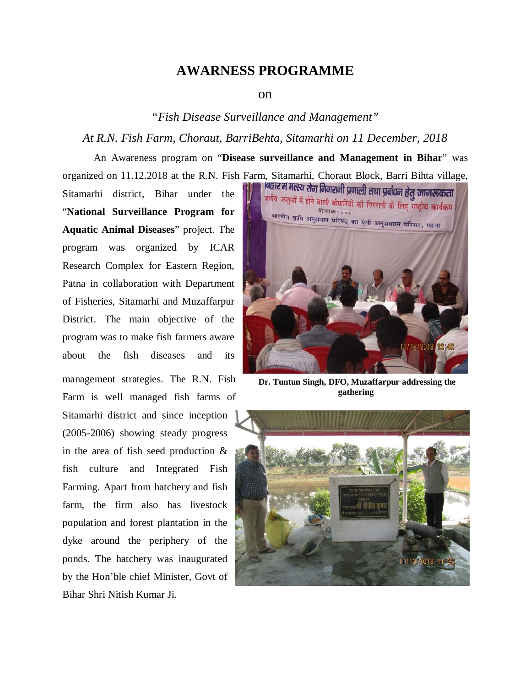## **AWARNESS PROGRAMME**

## on

## *"Fish Disease Surveillance and Management"*

## *At R.N. Fish Farm, Choraut, BarriBehta, Sitamarhi on 11 December, 2018*

An Awareness program on "**Disease surveillance and Management in Bihar**" was organized on 11.12.2018 at the R.N. Fish Farm, Sitamarhi, Choraut Block, Barri Bihta village,

Sitamarhi district, Bihar under the "**National Surveillance Program for Aquatic Animal Diseases**" project. The program was organized by ICAR Research Complex for Eastern Region, Patna in collaboration with Department of Fisheries, Sitamarhi and Muzaffarpur District. The main objective of the program was to make fish farmers aware about the fish diseases and its management strategies. The R.N. Fish Farm is well managed fish farms of Sitamarhi district and since inception (2005-2006) showing steady progress in the area of fish seed production & fish culture and Integrated Fish Farming. Apart from hatchery and fish farm, the firm also has livestock population and forest plantation in the dyke around the periphery of the ponds. The hatchery was inaugurated by the Hon'ble chief Minister, Govt of Bihar Shri Nitish Kumar Ji.



**Dr. Tuntun Singh, DFO, Muzaffarpur addressing the gathering**

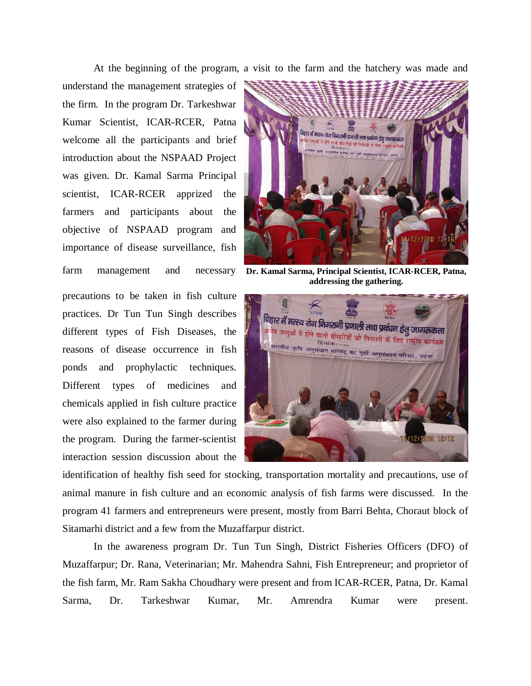At the beginning of the program, a visit to the farm and the hatchery was made and

understand the management strategies of the firm. In the program Dr. Tarkeshwar Kumar Scientist, ICAR-RCER, Patna welcome all the participants and brief introduction about the NSPAAD Project was given. Dr. Kamal Sarma Principal scientist, ICAR-RCER apprized the farmers and participants about the objective of NSPAAD program and importance of disease surveillance, fish farm management and

precautions to be taken in fish culture practices. Dr Tun Tun Singh describes different types of Fish Diseases, the reasons of disease occurrence in fish ponds and prophylactic techniques. Different types of medicines and chemicals applied in fish culture practice were also explained to the farmer during the program. During the farmer-scientist interaction session discussion about the



**Dr. Kamal Sarma, Principal Scientist, ICAR-RCER, Patna, addressing the gathering.**



identification of healthy fish seed for stocking, transportation mortality and precautions, use of animal manure in fish culture and an economic analysis of fish farms were discussed. In the program 41 farmers and entrepreneurs were present, mostly from Barri Behta, Choraut block of Sitamarhi district and a few from the Muzaffarpur district.

In the awareness program Dr. Tun Tun Singh, District Fisheries Officers (DFO) of Muzaffarpur; Dr. Rana, Veterinarian; Mr. Mahendra Sahni, Fish Entrepreneur; and proprietor of the fish farm, Mr. Ram Sakha Choudhary were present and from ICAR-RCER, Patna, Dr. Kamal Sarma, Dr. Tarkeshwar Kumar, Mr. Amrendra Kumar were present.